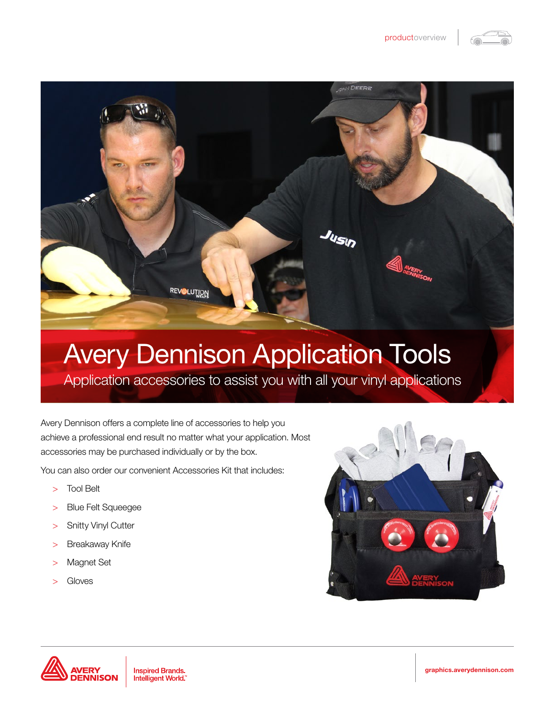



## Avery Dennison Application Tools

Application accessories to assist you with all your vinyl applications

Avery Dennison offers a complete line of accessories to help you achieve a professional end result no matter what your application. Most accessories may be purchased individually or by the box.

You can also order our convenient Accessories Kit that includes:

- > Tool Belt
- > Blue Felt Squeegee
- > Snitty Vinyl Cutter
- > Breakaway Knife
- > Magnet Set
- > Gloves